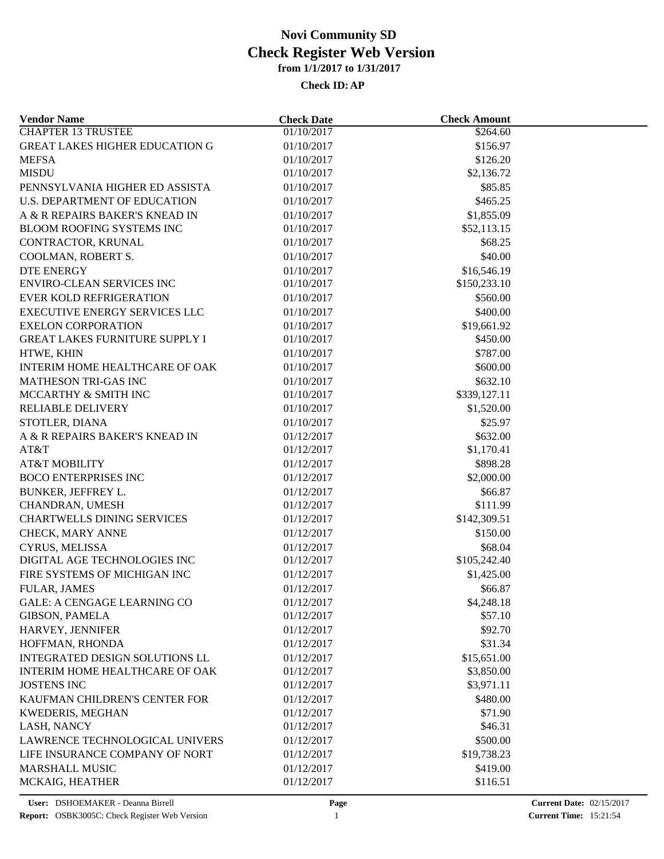| <b>Vendor Name</b>                    | <b>Check Date</b> | <b>Check Amount</b> |  |
|---------------------------------------|-------------------|---------------------|--|
| <b>CHAPTER 13 TRUSTEE</b>             | 01/10/2017        | \$264.60            |  |
| <b>GREAT LAKES HIGHER EDUCATION G</b> | 01/10/2017        | \$156.97            |  |
| <b>MEFSA</b>                          | 01/10/2017        | \$126.20            |  |
| <b>MISDU</b>                          | 01/10/2017        | \$2,136.72          |  |
| PENNSYLVANIA HIGHER ED ASSISTA        | 01/10/2017        | \$85.85             |  |
| <b>U.S. DEPARTMENT OF EDUCATION</b>   | 01/10/2017        | \$465.25            |  |
| A & R REPAIRS BAKER'S KNEAD IN        | 01/10/2017        | \$1,855.09          |  |
| BLOOM ROOFING SYSTEMS INC             | 01/10/2017        | \$52,113.15         |  |
| CONTRACTOR, KRUNAL                    | 01/10/2017        | \$68.25             |  |
| COOLMAN, ROBERT S.                    | 01/10/2017        | \$40.00             |  |
| <b>DTE ENERGY</b>                     | 01/10/2017        | \$16,546.19         |  |
| <b>ENVIRO-CLEAN SERVICES INC</b>      | 01/10/2017        | \$150,233.10        |  |
| EVER KOLD REFRIGERATION               | 01/10/2017        | \$560.00            |  |
| EXECUTIVE ENERGY SERVICES LLC         | 01/10/2017        | \$400.00            |  |
| <b>EXELON CORPORATION</b>             | 01/10/2017        | \$19,661.92         |  |
| <b>GREAT LAKES FURNITURE SUPPLY I</b> | 01/10/2017        | \$450.00            |  |
| HTWE, KHIN                            | 01/10/2017        | \$787.00            |  |
| INTERIM HOME HEALTHCARE OF OAK        | 01/10/2017        | \$600.00            |  |
| <b>MATHESON TRI-GAS INC</b>           | 01/10/2017        | \$632.10            |  |
| MCCARTHY & SMITH INC                  | 01/10/2017        | \$339,127.11        |  |
| <b>RELIABLE DELIVERY</b>              | 01/10/2017        | \$1,520.00          |  |
| STOTLER, DIANA                        | 01/10/2017        | \$25.97             |  |
| A & R REPAIRS BAKER'S KNEAD IN        | 01/12/2017        | \$632.00            |  |
| AT&T                                  | 01/12/2017        | \$1,170.41          |  |
| <b>AT&amp;T MOBILITY</b>              | 01/12/2017        | \$898.28            |  |
| <b>BOCO ENTERPRISES INC</b>           | 01/12/2017        | \$2,000.00          |  |
| BUNKER, JEFFREY L.                    | 01/12/2017        | \$66.87             |  |
| CHANDRAN, UMESH                       | 01/12/2017        | \$111.99            |  |
| <b>CHARTWELLS DINING SERVICES</b>     | 01/12/2017        | \$142,309.51        |  |
| CHECK, MARY ANNE                      | 01/12/2017        | \$150.00            |  |
| CYRUS, MELISSA                        | 01/12/2017        | \$68.04             |  |
| DIGITAL AGE TECHNOLOGIES INC          | 01/12/2017        | \$105,242.40        |  |
| FIRE SYSTEMS OF MICHIGAN INC          | 01/12/2017        | \$1,425.00          |  |
| <b>FULAR, JAMES</b>                   | 01/12/2017        | \$66.87             |  |
| <b>GALE: A CENGAGE LEARNING CO</b>    | 01/12/2017        | \$4,248.18          |  |
| <b>GIBSON, PAMELA</b>                 | 01/12/2017        | \$57.10             |  |
| HARVEY, JENNIFER                      | 01/12/2017        | \$92.70             |  |
| HOFFMAN, RHONDA                       | 01/12/2017        | \$31.34             |  |
| INTEGRATED DESIGN SOLUTIONS LL        | 01/12/2017        | \$15,651.00         |  |
| INTERIM HOME HEALTHCARE OF OAK        | 01/12/2017        | \$3,850.00          |  |
| <b>JOSTENS INC</b>                    | 01/12/2017        | \$3,971.11          |  |
| KAUFMAN CHILDREN'S CENTER FOR         |                   | \$480.00            |  |
|                                       | 01/12/2017        |                     |  |
| KWEDERIS, MEGHAN                      | 01/12/2017        | \$71.90             |  |
| LASH, NANCY                           | 01/12/2017        | \$46.31             |  |
| LAWRENCE TECHNOLOGICAL UNIVERS        | 01/12/2017        | \$500.00            |  |
| LIFE INSURANCE COMPANY OF NORT        | 01/12/2017        | \$19,738.23         |  |
| <b>MARSHALL MUSIC</b>                 | 01/12/2017        | \$419.00            |  |
| MCKAIG, HEATHER                       | 01/12/2017        | \$116.51            |  |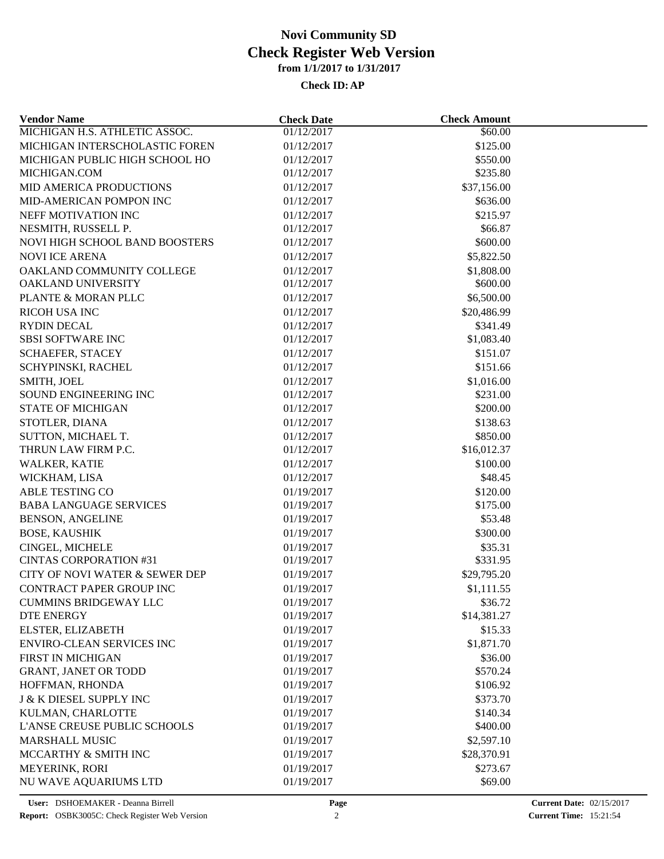| <b>Vendor Name</b>                  | <b>Check Date</b> | <b>Check Amount</b>  |  |
|-------------------------------------|-------------------|----------------------|--|
| MICHIGAN H.S. ATHLETIC ASSOC.       | 01/12/2017        | \$60.00              |  |
| MICHIGAN INTERSCHOLASTIC FOREN      | 01/12/2017        | \$125.00             |  |
| MICHIGAN PUBLIC HIGH SCHOOL HO      | 01/12/2017        | \$550.00             |  |
| MICHIGAN.COM                        | 01/12/2017        | \$235.80             |  |
| <b>MID AMERICA PRODUCTIONS</b>      | 01/12/2017        | \$37,156.00          |  |
| MID-AMERICAN POMPON INC             | 01/12/2017        | \$636.00             |  |
| NEFF MOTIVATION INC                 | 01/12/2017        | \$215.97             |  |
| NESMITH, RUSSELL P.                 | 01/12/2017        | \$66.87              |  |
| NOVI HIGH SCHOOL BAND BOOSTERS      | 01/12/2017        | \$600.00             |  |
| <b>NOVI ICE ARENA</b>               | 01/12/2017        | \$5,822.50           |  |
| OAKLAND COMMUNITY COLLEGE           | 01/12/2017        | \$1,808.00           |  |
| OAKLAND UNIVERSITY                  | 01/12/2017        | \$600.00             |  |
| PLANTE & MORAN PLLC                 | 01/12/2017        | \$6,500.00           |  |
| <b>RICOH USA INC</b>                | 01/12/2017        | \$20,486.99          |  |
| <b>RYDIN DECAL</b>                  | 01/12/2017        | \$341.49             |  |
| <b>SBSI SOFTWARE INC</b>            | 01/12/2017        | \$1,083.40           |  |
| <b>SCHAEFER, STACEY</b>             | 01/12/2017        | \$151.07             |  |
| SCHYPINSKI, RACHEL                  | 01/12/2017        | \$151.66             |  |
| SMITH, JOEL                         | 01/12/2017        | \$1,016.00           |  |
| SOUND ENGINEERING INC               | 01/12/2017        | \$231.00             |  |
| <b>STATE OF MICHIGAN</b>            | 01/12/2017        | \$200.00             |  |
| STOTLER, DIANA                      | 01/12/2017        | \$138.63             |  |
| SUTTON, MICHAEL T.                  | 01/12/2017        | \$850.00             |  |
| THRUN LAW FIRM P.C.                 | 01/12/2017        | \$16,012.37          |  |
| WALKER, KATIE                       | 01/12/2017        | \$100.00             |  |
| WICKHAM, LISA                       | 01/12/2017        | \$48.45              |  |
|                                     |                   |                      |  |
| <b>ABLE TESTING CO</b>              | 01/19/2017        | \$120.00<br>\$175.00 |  |
| <b>BABA LANGUAGE SERVICES</b>       | 01/19/2017        |                      |  |
| <b>BENSON, ANGELINE</b>             | 01/19/2017        | \$53.48              |  |
| <b>BOSE, KAUSHIK</b>                | 01/19/2017        | \$300.00             |  |
| CINGEL, MICHELE                     | 01/19/2017        | \$35.31              |  |
| <b>CINTAS CORPORATION #31</b>       | 01/19/2017        | \$331.95             |  |
| CITY OF NOVI WATER & SEWER DEP      | 01/19/2017        | \$29,795.20          |  |
| CONTRACT PAPER GROUP INC            | 01/19/2017        | \$1,111.55           |  |
| <b>CUMMINS BRIDGEWAY LLC</b>        | 01/19/2017        | \$36.72              |  |
| DTE ENERGY                          | 01/19/2017        | \$14,381.27          |  |
| ELSTER, ELIZABETH                   | 01/19/2017        | \$15.33              |  |
| ENVIRO-CLEAN SERVICES INC           | 01/19/2017        | \$1,871.70           |  |
| <b>FIRST IN MICHIGAN</b>            | 01/19/2017        | \$36.00              |  |
| <b>GRANT, JANET OR TODD</b>         | 01/19/2017        | \$570.24             |  |
| HOFFMAN, RHONDA                     | 01/19/2017        | \$106.92             |  |
| <b>J &amp; K DIESEL SUPPLY INC</b>  | 01/19/2017        | \$373.70             |  |
| KULMAN, CHARLOTTE                   | 01/19/2017        | \$140.34             |  |
| <b>L'ANSE CREUSE PUBLIC SCHOOLS</b> | 01/19/2017        | \$400.00             |  |
| MARSHALL MUSIC                      | 01/19/2017        | \$2,597.10           |  |
| MCCARTHY & SMITH INC                | 01/19/2017        | \$28,370.91          |  |
| <b>MEYERINK, RORI</b>               | 01/19/2017        | \$273.67             |  |
| NU WAVE AQUARIUMS LTD               | 01/19/2017        | \$69.00              |  |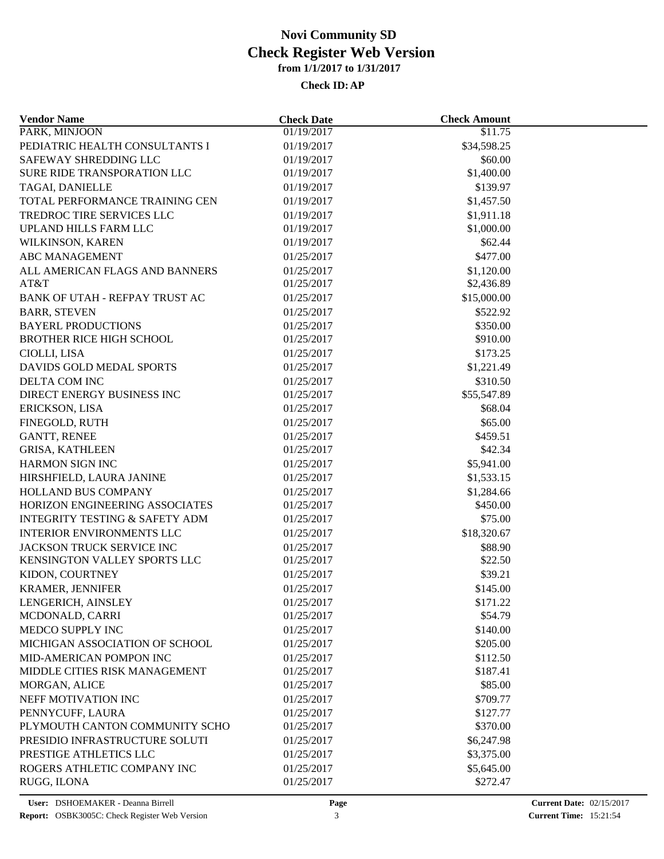| <b>Vendor Name</b>                        | <b>Check Date</b> | <b>Check Amount</b> |  |
|-------------------------------------------|-------------------|---------------------|--|
| PARK, MINJOON                             | 01/19/2017        | \$11.75             |  |
| PEDIATRIC HEALTH CONSULTANTS I            | 01/19/2017        | \$34,598.25         |  |
| SAFEWAY SHREDDING LLC                     | 01/19/2017        | \$60.00             |  |
| SURE RIDE TRANSPORATION LLC               | 01/19/2017        | \$1,400.00          |  |
| TAGAI, DANIELLE                           | 01/19/2017        | \$139.97            |  |
| TOTAL PERFORMANCE TRAINING CEN            | 01/19/2017        | \$1,457.50          |  |
| TREDROC TIRE SERVICES LLC                 | 01/19/2017        | \$1,911.18          |  |
| UPLAND HILLS FARM LLC                     | 01/19/2017        | \$1,000.00          |  |
| WILKINSON, KAREN                          | 01/19/2017        | \$62.44             |  |
| <b>ABC MANAGEMENT</b>                     | 01/25/2017        | \$477.00            |  |
| ALL AMERICAN FLAGS AND BANNERS            | 01/25/2017        | \$1,120.00          |  |
| AT&T                                      | 01/25/2017        | \$2,436.89          |  |
| BANK OF UTAH - REFPAY TRUST AC            | 01/25/2017        | \$15,000.00         |  |
| <b>BARR, STEVEN</b>                       | 01/25/2017        | \$522.92            |  |
| <b>BAYERL PRODUCTIONS</b>                 | 01/25/2017        | \$350.00            |  |
| <b>BROTHER RICE HIGH SCHOOL</b>           | 01/25/2017        | \$910.00            |  |
| CIOLLI, LISA                              | 01/25/2017        | \$173.25            |  |
| DAVIDS GOLD MEDAL SPORTS                  | 01/25/2017        | \$1,221.49          |  |
| DELTA COM INC                             | 01/25/2017        | \$310.50            |  |
| DIRECT ENERGY BUSINESS INC                | 01/25/2017        | \$55,547.89         |  |
| ERICKSON, LISA                            | 01/25/2017        | \$68.04             |  |
| FINEGOLD, RUTH                            | 01/25/2017        | \$65.00             |  |
|                                           |                   |                     |  |
| <b>GANTT, RENEE</b>                       | 01/25/2017        | \$459.51<br>\$42.34 |  |
| <b>GRISA, KATHLEEN</b>                    | 01/25/2017        |                     |  |
| HARMON SIGN INC                           | 01/25/2017        | \$5,941.00          |  |
| HIRSHFIELD, LAURA JANINE                  | 01/25/2017        | \$1,533.15          |  |
| HOLLAND BUS COMPANY                       | 01/25/2017        | \$1,284.66          |  |
| HORIZON ENGINEERING ASSOCIATES            | 01/25/2017        | \$450.00            |  |
| <b>INTEGRITY TESTING &amp; SAFETY ADM</b> | 01/25/2017        | \$75.00             |  |
| <b>INTERIOR ENVIRONMENTS LLC</b>          | 01/25/2017        | \$18,320.67         |  |
| JACKSON TRUCK SERVICE INC                 | 01/25/2017        | \$88.90             |  |
| KENSINGTON VALLEY SPORTS LLC              | 01/25/2017        | \$22.50             |  |
| KIDON, COURTNEY                           | 01/25/2017        | \$39.21             |  |
| <b>KRAMER, JENNIFER</b>                   | 01/25/2017        | \$145.00            |  |
| LENGERICH, AINSLEY                        | 01/25/2017        | \$171.22            |  |
| MCDONALD, CARRI                           | 01/25/2017        | \$54.79             |  |
| MEDCO SUPPLY INC                          | 01/25/2017        | \$140.00            |  |
| MICHIGAN ASSOCIATION OF SCHOOL            | 01/25/2017        | \$205.00            |  |
| MID-AMERICAN POMPON INC                   | 01/25/2017        | \$112.50            |  |
| MIDDLE CITIES RISK MANAGEMENT             | 01/25/2017        | \$187.41            |  |
| MORGAN, ALICE                             | 01/25/2017        | \$85.00             |  |
| NEFF MOTIVATION INC                       | 01/25/2017        | \$709.77            |  |
| PENNYCUFF, LAURA                          | 01/25/2017        | \$127.77            |  |
| PLYMOUTH CANTON COMMUNITY SCHO            | 01/25/2017        | \$370.00            |  |
| PRESIDIO INFRASTRUCTURE SOLUTI            | 01/25/2017        | \$6,247.98          |  |
| PRESTIGE ATHLETICS LLC                    | 01/25/2017        | \$3,375.00          |  |
| ROGERS ATHLETIC COMPANY INC               | 01/25/2017        | \$5,645.00          |  |
| RUGG, ILONA                               | 01/25/2017        | \$272.47            |  |
|                                           |                   |                     |  |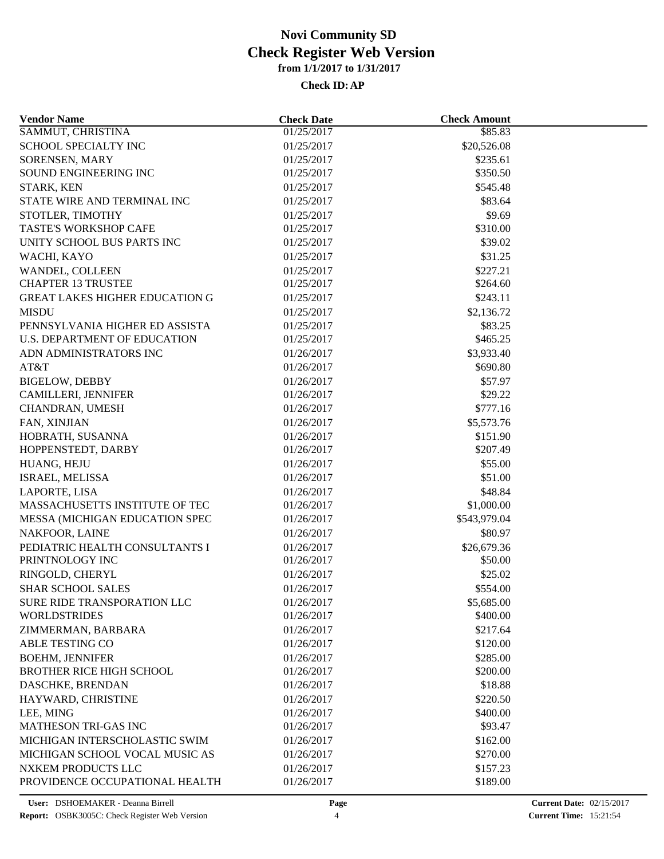| <b>Vendor Name</b>                    | <b>Check Date</b> | <b>Check Amount</b> |  |
|---------------------------------------|-------------------|---------------------|--|
| SAMMUT, CHRISTINA                     | 01/25/2017        | \$85.83             |  |
| SCHOOL SPECIALTY INC                  | 01/25/2017        | \$20,526.08         |  |
| SORENSEN, MARY                        | 01/25/2017        | \$235.61            |  |
| SOUND ENGINEERING INC                 | 01/25/2017        | \$350.50            |  |
| STARK, KEN                            | 01/25/2017        | \$545.48            |  |
| STATE WIRE AND TERMINAL INC           | 01/25/2017        | \$83.64             |  |
| STOTLER, TIMOTHY                      | 01/25/2017        | \$9.69              |  |
| TASTE'S WORKSHOP CAFE                 | 01/25/2017        | \$310.00            |  |
| UNITY SCHOOL BUS PARTS INC            | 01/25/2017        | \$39.02             |  |
| WACHI, KAYO                           | 01/25/2017        | \$31.25             |  |
| WANDEL, COLLEEN                       | 01/25/2017        | \$227.21            |  |
| <b>CHAPTER 13 TRUSTEE</b>             | 01/25/2017        | \$264.60            |  |
| <b>GREAT LAKES HIGHER EDUCATION G</b> | 01/25/2017        | \$243.11            |  |
| <b>MISDU</b>                          | 01/25/2017        | \$2,136.72          |  |
| PENNSYLVANIA HIGHER ED ASSISTA        | 01/25/2017        | \$83.25             |  |
| <b>U.S. DEPARTMENT OF EDUCATION</b>   | 01/25/2017        | \$465.25            |  |
| ADN ADMINISTRATORS INC                | 01/26/2017        | \$3,933.40          |  |
| AT&T                                  | 01/26/2017        | \$690.80            |  |
| <b>BIGELOW, DEBBY</b>                 | 01/26/2017        | \$57.97             |  |
| CAMILLERI, JENNIFER                   | 01/26/2017        | \$29.22             |  |
| CHANDRAN, UMESH                       | 01/26/2017        | \$777.16            |  |
|                                       |                   |                     |  |
| FAN, XINJIAN                          | 01/26/2017        | \$5,573.76          |  |
| HOBRATH, SUSANNA                      | 01/26/2017        | \$151.90            |  |
| HOPPENSTEDT, DARBY                    | 01/26/2017        | \$207.49            |  |
| HUANG, HEJU                           | 01/26/2017        | \$55.00             |  |
| ISRAEL, MELISSA                       | 01/26/2017        | \$51.00             |  |
| LAPORTE, LISA                         | 01/26/2017        | \$48.84             |  |
| MASSACHUSETTS INSTITUTE OF TEC        | 01/26/2017        | \$1,000.00          |  |
| MESSA (MICHIGAN EDUCATION SPEC        | 01/26/2017        | \$543,979.04        |  |
| NAKFOOR, LAINE                        | 01/26/2017        | \$80.97             |  |
| PEDIATRIC HEALTH CONSULTANTS I        | 01/26/2017        | \$26,679.36         |  |
| PRINTNOLOGY INC                       | 01/26/2017        | \$50.00             |  |
| RINGOLD, CHERYL                       | 01/26/2017        | \$25.02             |  |
| <b>SHAR SCHOOL SALES</b>              | 01/26/2017        | \$554.00            |  |
| SURE RIDE TRANSPORATION LLC           | 01/26/2017        | \$5,685.00          |  |
| <b>WORLDSTRIDES</b>                   | 01/26/2017        | \$400.00            |  |
| ZIMMERMAN, BARBARA                    | 01/26/2017        | \$217.64            |  |
| ABLE TESTING CO                       | 01/26/2017        | \$120.00            |  |
| <b>BOEHM, JENNIFER</b>                | 01/26/2017        | \$285.00            |  |
| <b>BROTHER RICE HIGH SCHOOL</b>       | 01/26/2017        | \$200.00            |  |
| DASCHKE, BRENDAN                      | 01/26/2017        | \$18.88             |  |
| HAYWARD, CHRISTINE                    | 01/26/2017        | \$220.50            |  |
| LEE, MING                             | 01/26/2017        | \$400.00            |  |
| MATHESON TRI-GAS INC                  | 01/26/2017        | \$93.47             |  |
| MICHIGAN INTERSCHOLASTIC SWIM         | 01/26/2017        | \$162.00            |  |
| MICHIGAN SCHOOL VOCAL MUSIC AS        | 01/26/2017        | \$270.00            |  |
| NXKEM PRODUCTS LLC                    | 01/26/2017        | \$157.23            |  |
| PROVIDENCE OCCUPATIONAL HEALTH        | 01/26/2017        | \$189.00            |  |
|                                       |                   |                     |  |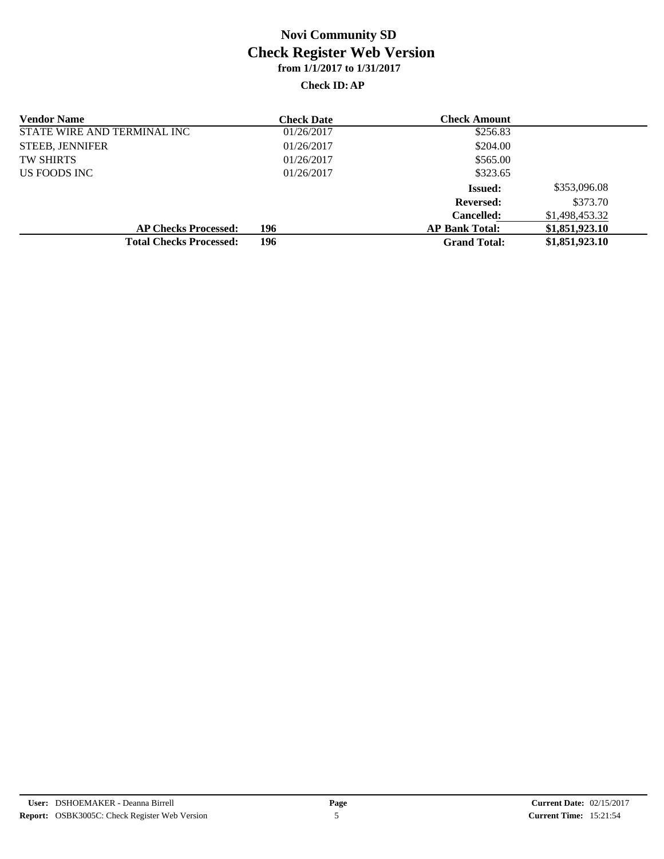| <b>Vendor Name</b>             | <b>Check Date</b> | <b>Check Amount</b>   |                |
|--------------------------------|-------------------|-----------------------|----------------|
| STATE WIRE AND TERMINAL INC    | 01/26/2017        | \$256.83              |                |
| <b>STEEB, JENNIFER</b>         | 01/26/2017        | \$204.00              |                |
| <b>TW SHIRTS</b>               | 01/26/2017        | \$565.00              |                |
| US FOODS INC                   | 01/26/2017        | \$323.65              |                |
|                                |                   | <b>Issued:</b>        | \$353,096.08   |
|                                |                   | <b>Reversed:</b>      | \$373.70       |
|                                |                   | <b>Cancelled:</b>     | \$1,498,453.32 |
| <b>AP Checks Processed:</b>    | 196               | <b>AP Bank Total:</b> | \$1,851,923.10 |
| <b>Total Checks Processed:</b> | 196               | <b>Grand Total:</b>   | \$1,851,923.10 |